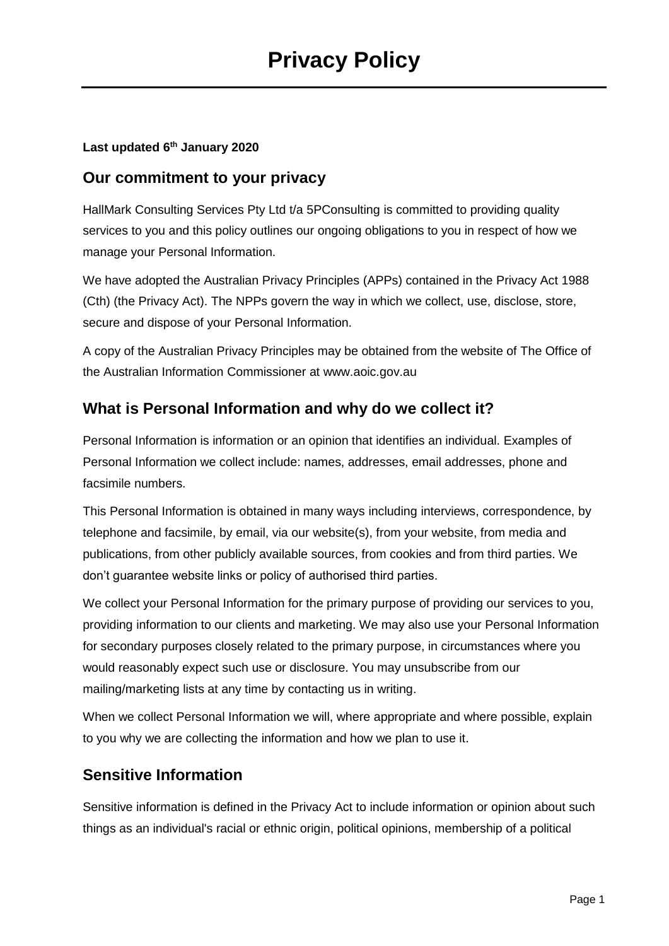#### **Last updated 6th January 2020**

#### **Our commitment to your privacy**

HallMark Consulting Services Pty Ltd t/a 5PConsulting is committed to providing quality services to you and this policy outlines our ongoing obligations to you in respect of how we manage your Personal Information.

We have adopted the Australian Privacy Principles (APPs) contained in the Privacy Act 1988 (Cth) (the Privacy Act). The NPPs govern the way in which we collect, use, disclose, store, secure and dispose of your Personal Information.

A copy of the Australian Privacy Principles may be obtained from the website of The Office of the Australian Information Commissioner at www.aoic.gov.au

## **What is Personal Information and why do we collect it?**

Personal Information is information or an opinion that identifies an individual. Examples of Personal Information we collect include: names, addresses, email addresses, phone and facsimile numbers.

This Personal Information is obtained in many ways including interviews, correspondence, by telephone and facsimile, by email, via our website(s), from your website, from media and publications, from other publicly available sources, from cookies and from third parties. We don't guarantee website links or policy of authorised third parties.

We collect your Personal Information for the primary purpose of providing our services to you, providing information to our clients and marketing. We may also use your Personal Information for secondary purposes closely related to the primary purpose, in circumstances where you would reasonably expect such use or disclosure. You may unsubscribe from our mailing/marketing lists at any time by contacting us in writing.

When we collect Personal Information we will, where appropriate and where possible, explain to you why we are collecting the information and how we plan to use it.

### **Sensitive Information**

Sensitive information is defined in the Privacy Act to include information or opinion about such things as an individual's racial or ethnic origin, political opinions, membership of a political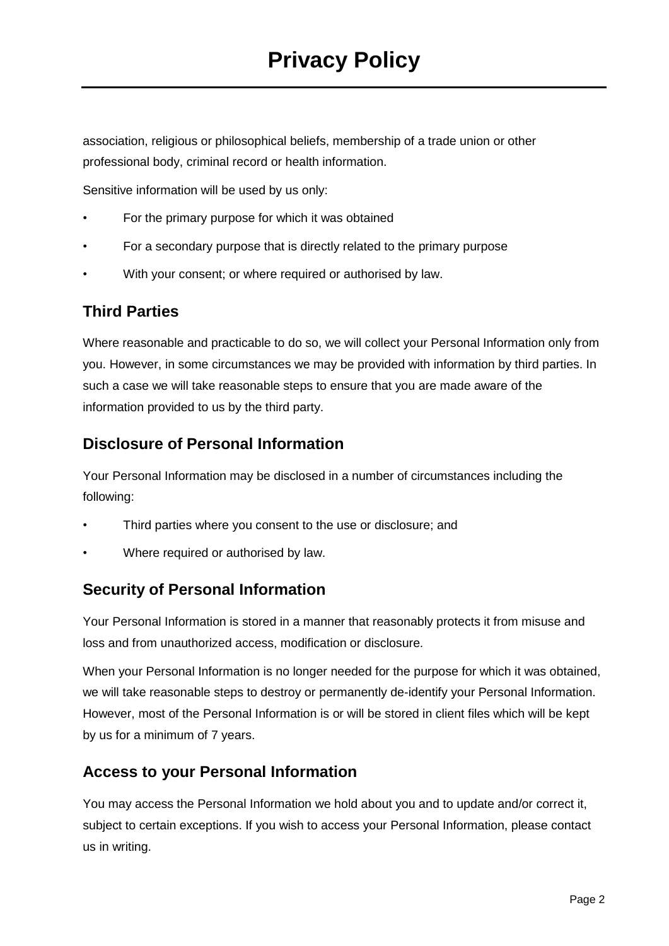association, religious or philosophical beliefs, membership of a trade union or other professional body, criminal record or health information.

Sensitive information will be used by us only:

- For the primary purpose for which it was obtained
- For a secondary purpose that is directly related to the primary purpose
- With your consent; or where required or authorised by law.

## **Third Parties**

Where reasonable and practicable to do so, we will collect your Personal Information only from you. However, in some circumstances we may be provided with information by third parties. In such a case we will take reasonable steps to ensure that you are made aware of the information provided to us by the third party.

## **Disclosure of Personal Information**

Your Personal Information may be disclosed in a number of circumstances including the following:

- Third parties where you consent to the use or disclosure; and
- Where required or authorised by law.

### **Security of Personal Information**

Your Personal Information is stored in a manner that reasonably protects it from misuse and loss and from unauthorized access, modification or disclosure.

When your Personal Information is no longer needed for the purpose for which it was obtained, we will take reasonable steps to destroy or permanently de-identify your Personal Information. However, most of the Personal Information is or will be stored in client files which will be kept by us for a minimum of 7 years.

### **Access to your Personal Information**

You may access the Personal Information we hold about you and to update and/or correct it, subject to certain exceptions. If you wish to access your Personal Information, please contact us in writing.